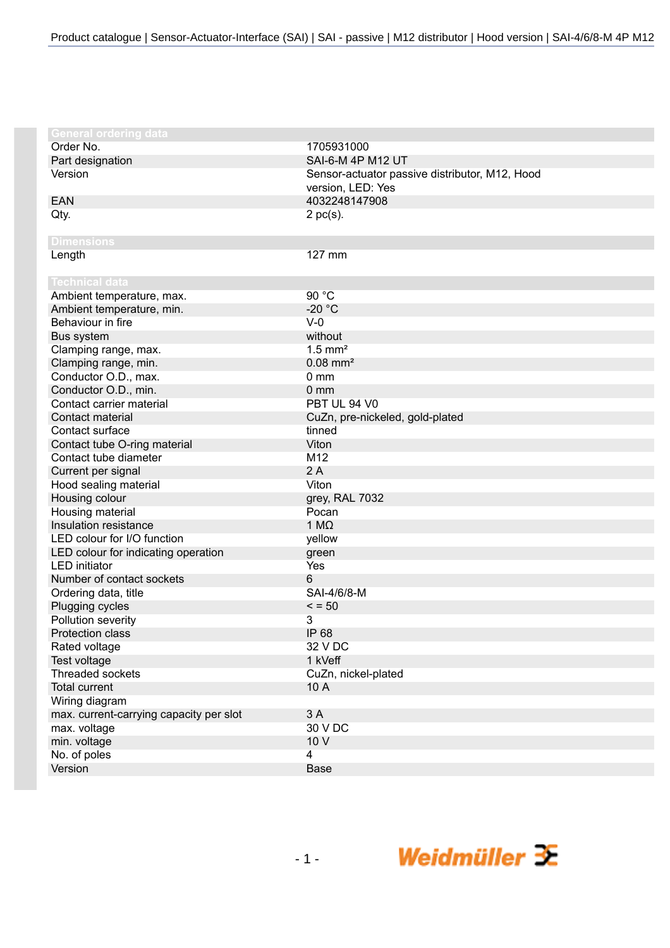| <b>General ordering data</b>            |                                                |
|-----------------------------------------|------------------------------------------------|
| Order No.                               | 1705931000                                     |
| Part designation                        | SAI-6-M 4P M12 UT                              |
| Version                                 | Sensor-actuator passive distributor, M12, Hood |
|                                         | version, LED: Yes                              |
| <b>EAN</b>                              | 4032248147908                                  |
| Qty.                                    | $2$ pc(s).                                     |
|                                         |                                                |
| <b>Dimensions</b>                       |                                                |
| Length                                  | 127 mm                                         |
|                                         |                                                |
| Technical data                          |                                                |
| Ambient temperature, max.               | 90 °C                                          |
| Ambient temperature, min.               | $-20 °C$                                       |
| Behaviour in fire                       | $V-0$                                          |
| Bus system                              | without                                        |
| Clamping range, max.                    | $1.5$ mm <sup>2</sup>                          |
| Clamping range, min.                    | $0.08$ mm <sup>2</sup>                         |
| Conductor O.D., max.                    | $0 \text{ mm}$                                 |
| Conductor O.D., min.                    | $0 \, \text{mm}$                               |
| Contact carrier material                | PBT UL 94 V0                                   |
| Contact material                        | CuZn, pre-nickeled, gold-plated                |
| Contact surface                         | tinned                                         |
| Contact tube O-ring material            | Viton                                          |
| Contact tube diameter                   | M12                                            |
| Current per signal                      | 2A                                             |
| Hood sealing material                   | Viton                                          |
| Housing colour                          | grey, RAL 7032                                 |
| Housing material                        | Pocan                                          |
| Insulation resistance                   | 1 $M\Omega$                                    |
| LED colour for I/O function             | yellow                                         |
| LED colour for indicating operation     | green                                          |
| <b>LED</b> initiator                    | Yes                                            |
| Number of contact sockets               | 6                                              |
| Ordering data, title                    | SAI-4/6/8-M                                    |
| Plugging cycles                         | $\le$ = 50                                     |
| Pollution severity                      | 3                                              |
| Protection class                        | IP 68                                          |
| Rated voltage                           | 32 V DC                                        |
| Test voltage                            | 1 kVeff                                        |
| <b>Threaded sockets</b>                 | CuZn, nickel-plated                            |
| <b>Total current</b>                    | 10 A                                           |
| Wiring diagram                          |                                                |
| max. current-carrying capacity per slot | 3 A                                            |
| max. voltage                            | 30 V DC                                        |
| min. voltage                            | 10 V                                           |
| No. of poles                            | $\overline{4}$                                 |
| Version                                 | <b>Base</b>                                    |